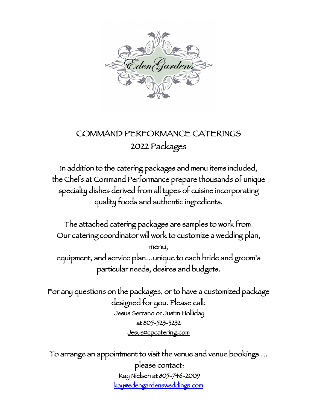

## COMMAND PERFORMANCE CATERINGS 2022 Packages

In addition to the catering packages and menu items included, the Chefs at Command Performance prepare thousands of unique specialty dishes derived from all types of cuisine incorporating quality foods and authentic ingredients.

The attached catering packages are samples to work from. Our catering coordinator will work to customize a wedding plan, menu, equipment, and service plan…unique to each bride and groom's particular needs, desires and budgets.

For any questions on the packages, or to have a customized package designed for you. Please call: Jesus Serrano or Justin Holliday at 805-523-3232 Jesus@cpcatering.com

To arrange an appointment to visit the venue and venue bookings … please contact: Kay Nielsen at 805-746-2009 kay@edengardensweddings.com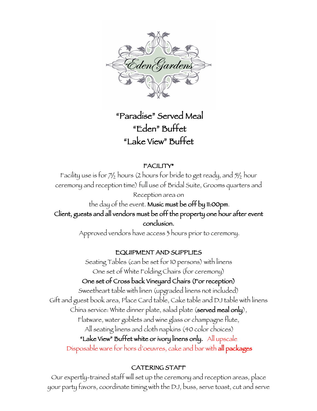

## "Paradise" Served Meal "Eden" Buffet "Lake View" Buffet

## FACILITY\*

Facility use is for  $7\frac{1}{2}$  hours (2 hours for bride to get ready, and  $5\frac{1}{2}$  hour ceremony and reception time) full use of Bridal Suite, Grooms quarters and

Reception area on the day of the event. Music must be off by 11:00pm. Client, guests and all vendors must be off the property one hour after event conclusion.

Approved vendors have access 3 hours prior to ceremony.

## EQUIPMENT AND SUPPLIES

Seating Tables (can be set for 10 persons) with linens One set of White Folding Chairs (for ceremony) One set of Cross back Vineyard Chairs (For reception) Sweetheart table with linen (upgraded linens not included) Gift and guest book area, Place Card table, Cake table and DJ table with linens China service: White dinner plate, salad plate (served meal only), Flatware, water goblets and wine glass or champagne flute, All seating linens and cloth napkins (40 color choices) "Lake View" Buffet white or ivory linens only. All upscale Disposable ware for hors d'oeuvres, cake and bar with all packages

## CATERING STAFF

Our expertly-trained staff will set up the ceremony and reception areas, place your party favors, coordinate timing with the DJ, buss, serve toast, cut and serve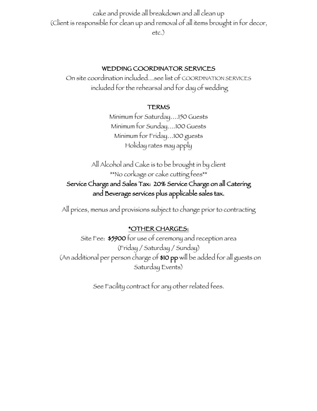cake and provide all breakdown and all clean up (Client is responsible for clean up and removal of all items brought in for decor, etc.)

#### WEDDING COORDINATOR SERVICES

On site coordination included…see list of COORDINATION SERVICES included for the rehearsal and for day of wedding

#### TERMS

Minimum for Saturday….150 Guests Minimum for Sunday….100 Guests Minimum for Friday…100 guests Holiday rates may apply

All Alcohol and Cake is to be brought in by client \*\*No corkage or cake cutting fees\*\* Service Charge and Sales Tax: 20% Service Charge on all Catering and Beverage services plus applicable sales tax.

All prices, menus and provisions subject to change prior to contracting

### \*OTHER CHARGES:

Site Fee: \$5900 for use of ceremony and reception area (Friday / Saturday / Sunday) (An additional per person charge of \$10 pp will be added for all guests on Saturday Events)

See Facility contract for any other related fees.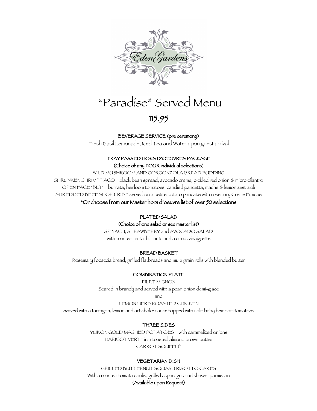

# "Paradise" Served Menu

## 115.95

#### BEVERAGE SERVICE (pre ceremony)

Fresh Basil Lemonade, Iced Tea and Water upon guest arrival

#### TRAY PASSED HORS D'OEUVRES PACKAGE (Choice of any FOUR individual selections)

WILD MUSHROOM AND GORGONZOLA BREAD PUDDING SHRUNKEN SHRIMP TACO ~ black bean spread, avocado crème, pickled red onion & micro cilantro OPEN FACE "BLT" ~ burrata, heirloom tomatoes, candied pancetta, mache & lemon zest aioli SHREDDED BEEF SHORT RIB<sup>\*</sup> served on a petite potato pancake with rosemary Crème Fraiche \*Or choose from our Master hors d'oeuvre list of over 50 selections

#### PLATED SALAD

#### (Choice of one salad or see master list)

SPINACH, STRAWBERRY and AVOCADO SALAD with toasted pistachio nuts and a citrus vinaigrette

#### BREAD BASKET

Rosemary focaccia bread, grilled flatbreads and multi grain rolls with blended butter

#### COMBINATION PLATE

FILET MIGNON Seared in brandy and served with a pearl onion demi-glace

and

LEMON HERB ROASTED CHICKEN

Served with a tarragon, lemon and artichoke sauce topped with split baby heirloom tomatoes

#### THREE SIDES

YUKON GOLD MASHED POTATOES<sup>~</sup> with caramelized onions HARICOT VERT<sup>~</sup> in a toasted almond brown butter CARROT SOUFFLÉ

#### VEGETARIAN DISH

GRILLED BUTTERNUT SQUASH RISOTTO CAKES With a roasted tomato coulis, grilled asparagus and shaved parmesan (Available upon Request)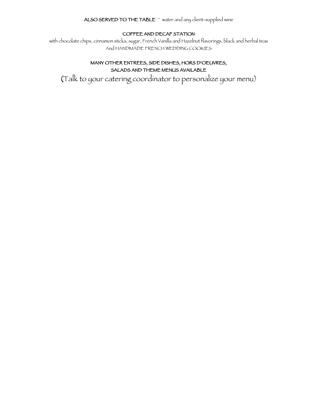#### ALSO SERVED TO THE TABLE ~ water and any client-supplied wine

#### COFFEE AND DECAF STATION

with chocolate chips, cinnamon sticks, sugar, French Vanilla and Hazelnut flavorings, black and herbal teas And HANDMADE FRENCH WEDDING COOKIES

#### MANY OTHER ENTREES, SIDE DISHES, HORS D'OEUVRES, SALADS AND THEME MENUS AVAILABLE

(Talk to your catering coordinator to personalize your menu)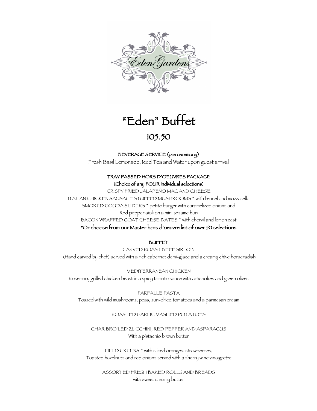

# "Eden" Buffet 105.50

#### BEVERAGE SERVICE (pre ceremony)

Fresh Basil Lemonade, Iced Tea and Water upon guest arrival

#### TRAY PASSED HORS D'OEUVRES PACKAGE (Choice of any FOUR individual selections)

CRISPY FRIED JALAPEÑO MAC AND CHEESE ITALIAN CHICKEN SAUSAGE STUFFED MUSHROOMS ~ with fennel and mozzarella SMOKED GOUDA SLIDERS<sup>~</sup> petite burger with caramelized onions and Red pepper aioli on a mini sesame bun BACON WRAPPED GOAT CHEESE DATES ~ with chervil and lemon zest \*Or choose from our Master hors d'oeuvre list of over 50 selections

#### BUFFET

CARVED ROAST BEEF SIRLOIN (Hand carved by chef) served with a rich cabernet demi-glace and a creamy chive horseradish

MEDITERRANEAN CHICKEN Rosemary grilled chicken beast in a spicy tomato sauce with artichokes and green olives

FARFALLE PASTA Tossed with wild mushrooms, peas, sun-dried tomatoes and a parmesan cream

#### ROASTED GARLIC MASHED POTATOES

CHAR BROILED ZUCCHINI, RED PEPPER AND ASPARAGUS With a pistachio brown butter

FIELD GREENS ~ with sliced oranges, strawberries, Toasted hazelnuts and red onions served with a sherry wine vinaigrette

> ASSORTED FRESH BAKED ROLLS AND BREADS with sweet creamy butter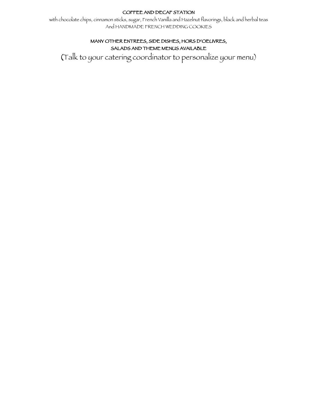#### COFFEE AND DECAF STATION

with chocolate chips, cinnamon sticks, sugar, French Vanilla and Hazelnut flavorings, black and herbal teas And HANDMADE FRENCH WEDDING COOKIES

#### MANY OTHER ENTREES, SIDE DISHES, HORS D'OEUVRES, SALADS AND THEME MENUS AVAILABLE

(Talk to your catering coordinator to personalize your menu)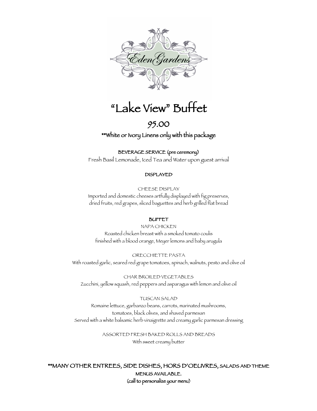

## "Lake View" Buffet

## 95.00

\*\*White or Ivory Linens only with this package

#### BEVERAGE SERVICE (pre ceremony)

Fresh Basil Lemonade, Iced Tea and Water upon guest arrival

#### DISPLAYED

CHEESE DISPLAY Imported and domestic cheeses artfully displayed with fig preserves, dried fruits, red grapes, sliced baguettes and herb grilled flat bread

#### BUFFET

NAPA CHICKEN Roasted chicken breast with a smoked tomato coulis finished with a blood orange, Meyer lemons and baby arugula

ORECCHIETTE PASTA With roasted garlic, seared red grape tomatoes, spinach, walnuts, pesto and olive oil

CHAR BROILED VEGETABLES Zucchini, yellow squash, red peppers and asparagus with lemon and olive oil

TUSCAN SALAD Romaine lettuce, garbanzo beans, carrots, marinated mushrooms, tomatoes, black olives, and shaved parmesan Served with a white balsamic herb vinaigrette and creamy garlic parmesan dressing

> ASSORTED FRESH BAKED ROLLS AND BREADS With sweet creamy butter

\*\*MANY OTHER ENTREES, SIDE DISHES, HORS D'OEUVRES, SALADS AND THEME MENUS AVAILABLE. (call to personalize your menu)